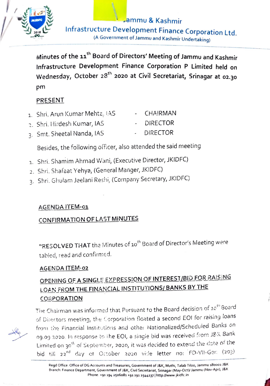

Jammu & Kashmir **Infrastructure Development Finance Corporation Ltd.** (A Government of Jammu and Kashmir Undertaking)

Minutes of the 11<sup>th</sup> Board of Directors' Meeting of Jammu and Kashmir Infrastructure Development Finance Corporation P Limited held on Wednesday, October 28<sup>th</sup> 2020 at Civil Secretariat, Srinagar at 02.30 pm

## PRESENT

- 1. Shri, Arun Kumar Mehta, IAS **CHAIRMAN**
- 2. Shri. Hirdesh Kumar, IAS **DIRECTOR**
- 3. Smt. Sheetal Nanda, IAS **DIRECTOR**

Besides, the following officer, also attended the said meeting

- 1. Shri. Shamim Ahmad Wani, (Executive Director, JKIDFC)
- 2. Shri. Shafaat Yehya, (General Manger, JKIDFC)
- 3. Shri. Ghulam Jeelani Reshi, (Company Secretary, JKIDFC)

### **AGENDA ITEM-01**

## CONFIRMATION OF LAST MINUTES

"RESOLVED THAT the Minutes of 10<sup>th</sup> Board of Director's Meeting were tabled, read and confirmed.

#### AGENDA ITEM-02

# OPENING OF A SINGLE EXPRESSION OF INTEREST/BID FOR RAISING LOAN FROM THE FINANCIAL INSTITUTIONS/ BANKS BY THE **CORPORATION**



The Chairman was informed that Pursuant to the Board decision of 10<sup>th</sup> Board of Directors meeting, the Corporation floated a second EOI for raising loans from the Financial Institutions and other Nationalized/Scheduled Banks on og.og 2020. In response to the EOI, a single bid was received from J&K Bank Limited on 30<sup>th</sup> of September, 2020, it was decided to extend the date of the bid till 22nd day of October 2020 vide letter no: FD-VII-Gen (203)

Regd Office: Office of DG Accounts and Treasuries, Government of J&K, Muthi, Talab Tiloo, Jammu 180001 J&K Branch: Finance Department, Government of J&K, Civil Secretariat, Srinagar (May-Oct)/ Jammu (Nov-Apr), J&K Phone: +91 194 2506081 +91 191 2544137 | http://www.jkidfc.in